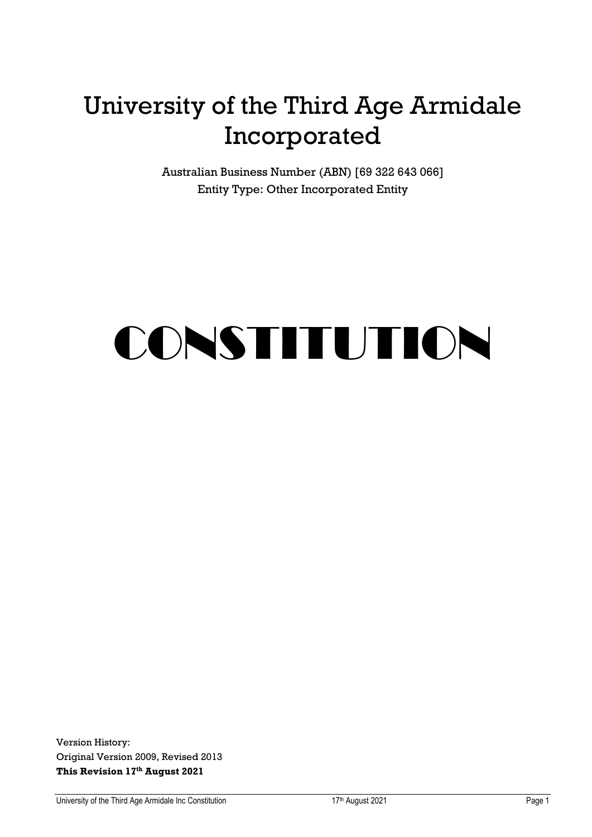# University of the Third Age Armidale Incorporated

Australian Business Number (ABN) [69 322 643 066] Entity Type: Other Incorporated Entity

# CONSTITUTION

Version History: Original Version 2009, Revised 2013 **This Revision 17 th August 2021**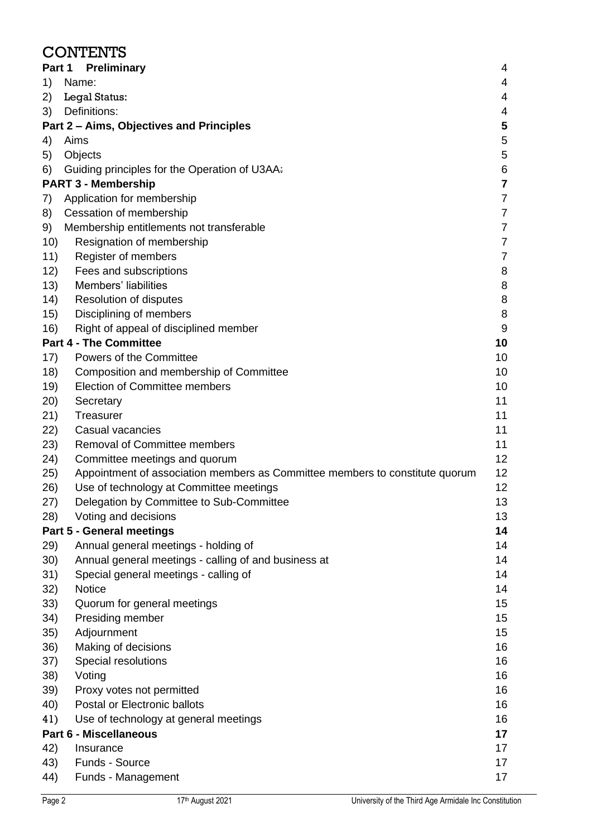#### **CONTENTS**

|      | Part 1 Preliminary                                                           | 4                       |
|------|------------------------------------------------------------------------------|-------------------------|
| 1)   | Name:                                                                        | 4                       |
| 2)   | Legal Status:                                                                | 4                       |
| 3)   | Definitions:                                                                 | 4                       |
|      | Part 2 - Aims, Objectives and Principles                                     | 5                       |
| 4)   | Aims                                                                         | 5                       |
| 5)   | Objects                                                                      | $\mathbf 5$             |
| 6)   | Guiding principles for the Operation of U3AA:                                | 6                       |
|      | <b>PART 3 - Membership</b>                                                   | $\overline{\mathbf{7}}$ |
| 7)   | Application for membership                                                   | $\overline{7}$          |
| 8)   | Cessation of membership                                                      | $\overline{7}$          |
| 9)   | Membership entitlements not transferable                                     | $\overline{7}$          |
| 10)  | Resignation of membership                                                    | $\overline{7}$          |
| 11)  | Register of members                                                          | 7                       |
| 12)  | Fees and subscriptions                                                       | 8                       |
| 13)  | Members' liabilities                                                         | 8                       |
| (14) | Resolution of disputes                                                       | 8                       |
| 15)  | Disciplining of members                                                      | 8                       |
| 16)  | Right of appeal of disciplined member                                        | 9                       |
|      | <b>Part 4 - The Committee</b>                                                | 10                      |
| 17)  | Powers of the Committee                                                      | 10                      |
| 18)  | Composition and membership of Committee                                      | 10                      |
| 19)  | <b>Election of Committee members</b>                                         | 10                      |
| 20)  | Secretary                                                                    | 11                      |
| 21)  | Treasurer                                                                    | 11                      |
| 22)  | Casual vacancies                                                             | 11                      |
| 23)  | <b>Removal of Committee members</b>                                          | 11                      |
| 24)  | Committee meetings and quorum                                                | 12                      |
| 25)  | Appointment of association members as Committee members to constitute quorum | 12                      |
| 26)  | Use of technology at Committee meetings                                      | 12                      |
| 27)  | Delegation by Committee to Sub-Committee                                     | 13                      |
| 28)  | Voting and decisions                                                         | 13                      |
|      | <b>Part 5 - General meetings</b>                                             | 14                      |
| 29)  | Annual general meetings - holding of                                         | 14                      |
| 30)  | Annual general meetings - calling of and business at                         | 14                      |
| 31)  | Special general meetings - calling of                                        | 14                      |
| 32)  | <b>Notice</b>                                                                | 14                      |
| 33)  | Quorum for general meetings                                                  | 15                      |
| 34)  | Presiding member                                                             | 15                      |
| 35)  | Adjournment                                                                  | 15                      |
| 36)  | Making of decisions                                                          | 16                      |
| 37)  | Special resolutions                                                          | 16                      |
| 38)  | Voting                                                                       | 16                      |
| 39)  | Proxy votes not permitted                                                    | 16                      |
| 40)  | Postal or Electronic ballots                                                 | 16                      |
| 41)  | Use of technology at general meetings                                        | 16                      |
|      | <b>Part 6 - Miscellaneous</b>                                                | 17                      |
| 42)  | Insurance                                                                    | 17                      |
| 43)  | Funds - Source                                                               | 17                      |
| 44)  | Funds - Management                                                           | 17                      |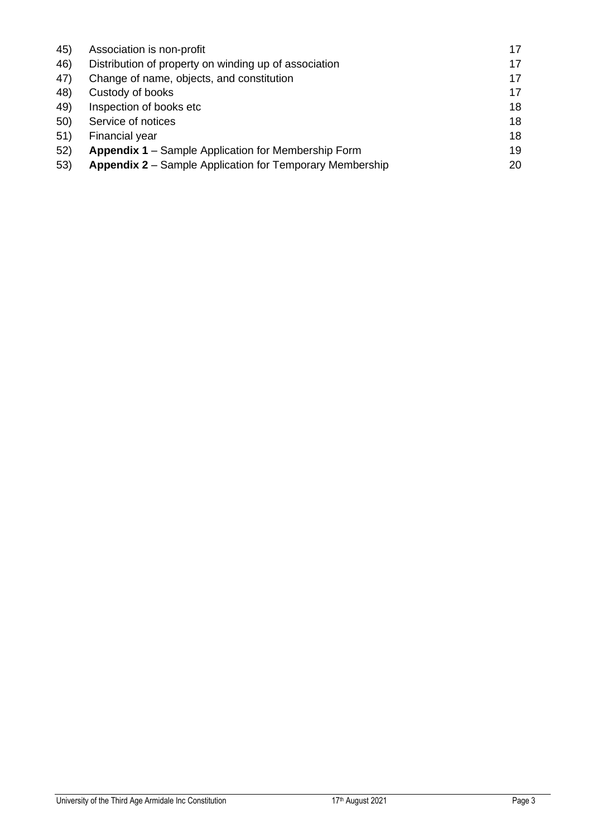| 45) | Association is non-profit                                       | 17 |
|-----|-----------------------------------------------------------------|----|
| 46) | Distribution of property on winding up of association           | 17 |
| 47) | Change of name, objects, and constitution                       | 17 |
| 48) | Custody of books                                                | 17 |
| 49) | Inspection of books etc                                         | 18 |
| 50) | Service of notices                                              | 18 |
| 51) | Financial year                                                  | 18 |
| 52) | Appendix 1 - Sample Application for Membership Form             | 19 |
| 53) | <b>Appendix 2</b> – Sample Application for Temporary Membership | 20 |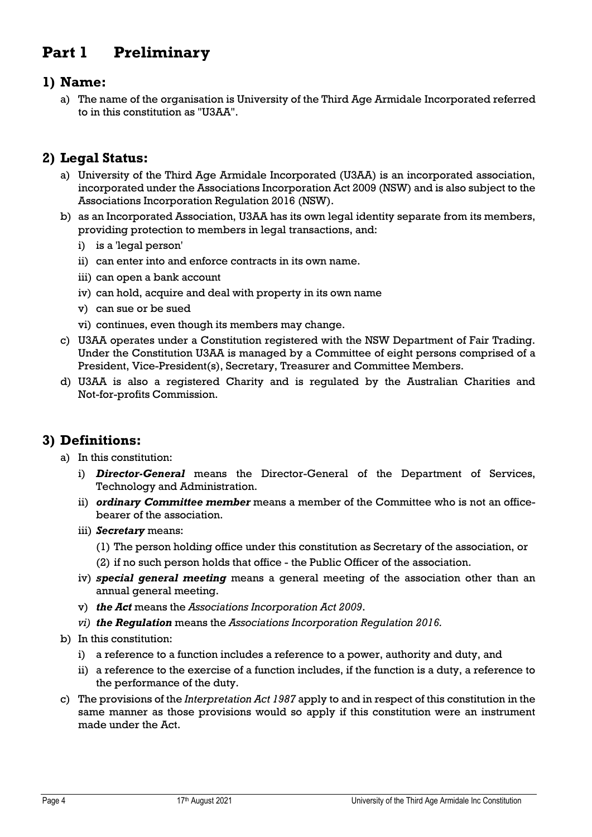# <span id="page-3-0"></span>**Part 1 Preliminary**

#### <span id="page-3-1"></span>**1) Name:**

a) The name of the organisation is University of the Third Age Armidale Incorporated referred to in this constitution as "U3AA".

#### <span id="page-3-2"></span>**2) Legal Status:**

- a) University of the Third Age Armidale Incorporated (U3AA) is an incorporated association, incorporated under the Associations Incorporation Act 2009 (NSW) and is also subject to the Associations Incorporation Regulation 2016 (NSW).
- b) as an Incorporated Association, U3AA has its own legal identity separate from its members, providing protection to members in legal transactions, and:
	- i) is a 'legal person'
	- ii) can enter into and enforce contracts in its own name.
	- iii) can open a bank account
	- iv) can hold, acquire and deal with property in its own name
	- v) can sue or be sued
	- vi) continues, even though its members may change.
- c) U3AA operates under a Constitution registered with the NSW Department of Fair Trading. Under the Constitution U3AA is managed by a Committee of eight persons comprised of a President, Vice-President(s), Secretary, Treasurer and Committee Members.
- d) U3AA is also a registered Charity and is regulated by the Australian Charities and Not-for-profits Commission.

#### <span id="page-3-3"></span>**3) Definitions:**

- a) In this constitution:
	- i) *Director-General* means the Director-General of the Department of Services, Technology and Administration.
	- ii) *ordinary Committee member* means a member of the Committee who is not an officebearer of the association.
	- iii) *Secretary* means:
		- (1) The person holding office under this constitution as Secretary of the association, or
		- (2) if no such person holds that office the Public Officer of the association.
	- iv) *special general meeting* means a general meeting of the association other than an annual general meeting.
	- v) *the Act* means the *Associations Incorporation Act 2009*.
	- *vi) the Regulation* means the *Associations Incorporation Regulation 2016.*
- b) In this constitution:
	- i) a reference to a function includes a reference to a power, authority and duty, and
	- ii) a reference to the exercise of a function includes, if the function is a duty, a reference to the performance of the duty.
- c) The provisions of the *Interpretation Act 1987* apply to and in respect of this constitution in the same manner as those provisions would so apply if this constitution were an instrument made under the Act.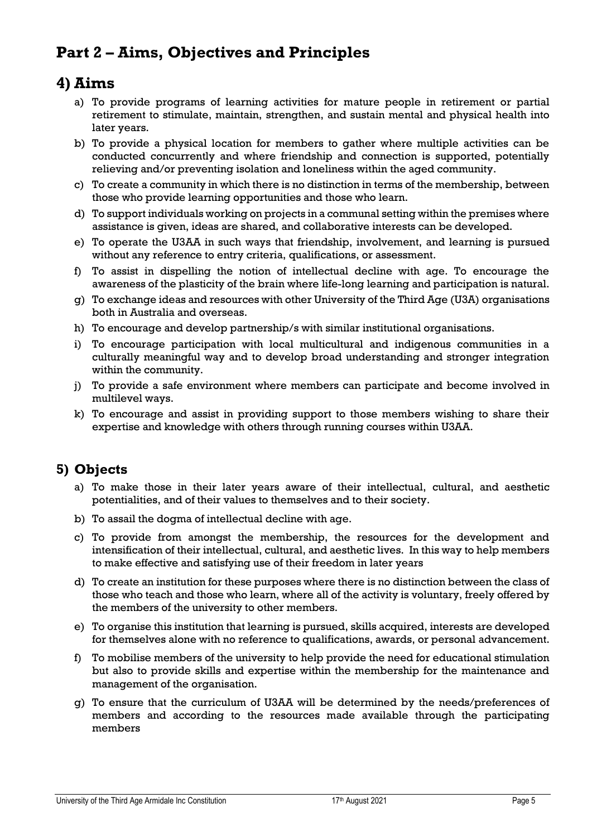# <span id="page-4-0"></span>**Part 2 – Aims, Objectives and Principles**

### <span id="page-4-1"></span>**4) Aims**

- a) To provide programs of learning activities for mature people in retirement or partial retirement to stimulate, maintain, strengthen, and sustain mental and physical health into later years.
- b) To provide a physical location for members to gather where multiple activities can be conducted concurrently and where friendship and connection is supported, potentially relieving and/or preventing isolation and loneliness within the aged community.
- c) To create a community in which there is no distinction in terms of the membership, between those who provide learning opportunities and those who learn.
- d) To support individuals working on projects in a communal setting within the premises where assistance is given, ideas are shared, and collaborative interests can be developed.
- e) To operate the U3AA in such ways that friendship, involvement, and learning is pursued without any reference to entry criteria, qualifications, or assessment.
- f) To assist in dispelling the notion of intellectual decline with age. To encourage the awareness of the plasticity of the brain where life-long learning and participation is natural.
- g) To exchange ideas and resources with other University of the Third Age (U3A) organisations both in Australia and overseas.
- h) To encourage and develop partnership/s with similar institutional organisations.
- i) To encourage participation with local multicultural and indigenous communities in a culturally meaningful way and to develop broad understanding and stronger integration within the community.
- j) To provide a safe environment where members can participate and become involved in multilevel ways.
- k) To encourage and assist in providing support to those members wishing to share their expertise and knowledge with others through running courses within U3AA.

#### <span id="page-4-2"></span>**5) Objects**

- a) To make those in their later years aware of their intellectual, cultural, and aesthetic potentialities, and of their values to themselves and to their society.
- b) To assail the dogma of intellectual decline with age.
- c) To provide from amongst the membership, the resources for the development and intensification of their intellectual, cultural, and aesthetic lives. In this way to help members to make effective and satisfying use of their freedom in later years
- d) To create an institution for these purposes where there is no distinction between the class of those who teach and those who learn, where all of the activity is voluntary, freely offered by the members of the university to other members.
- e) To organise this institution that learning is pursued, skills acquired, interests are developed for themselves alone with no reference to qualifications, awards, or personal advancement.
- f) To mobilise members of the university to help provide the need for educational stimulation but also to provide skills and expertise within the membership for the maintenance and management of the organisation.
- g) To ensure that the curriculum of U3AA will be determined by the needs/preferences of members and according to the resources made available through the participating members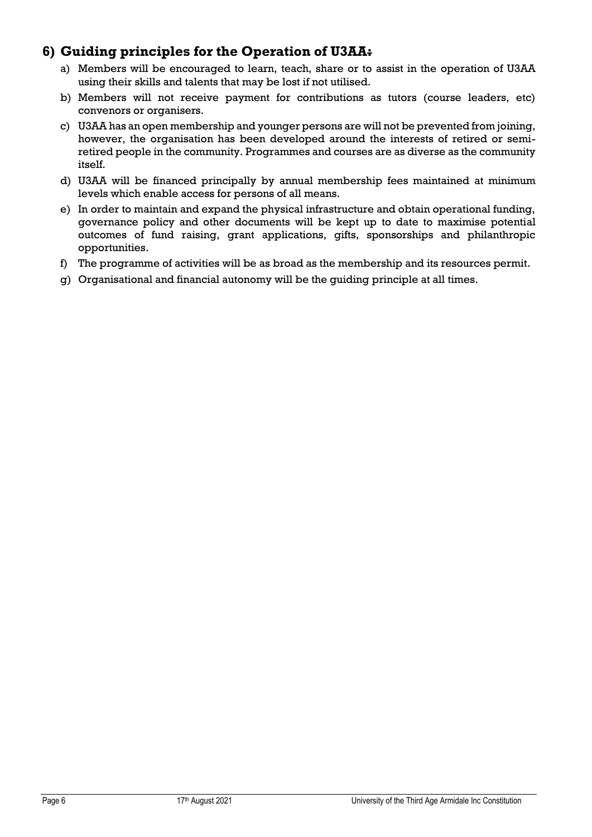#### <span id="page-5-0"></span>**6) Guiding principles for the Operation of U3AA:**

- a) Members will be encouraged to learn, teach, share or to assist in the operation of U3AA using their skills and talents that may be lost if not utilised.
- b) Members will not receive payment for contributions as tutors (course leaders, etc) convenors or organisers.
- c) U3AA has an open membership and younger persons are will not be prevented from joining, however, the organisation has been developed around the interests of retired or semiretired people in the community. Programmes and courses are as diverse as the community itself.
- d) U3AA will be financed principally by annual membership fees maintained at minimum levels which enable access for persons of all means.
- e) In order to maintain and expand the physical infrastructure and obtain operational funding, governance policy and other documents will be kept up to date to maximise potential outcomes of fund raising, grant applications, gifts, sponsorships and philanthropic opportunities.
- f) The programme of activities will be as broad as the membership and its resources permit.
- g) Organisational and financial autonomy will be the guiding principle at all times.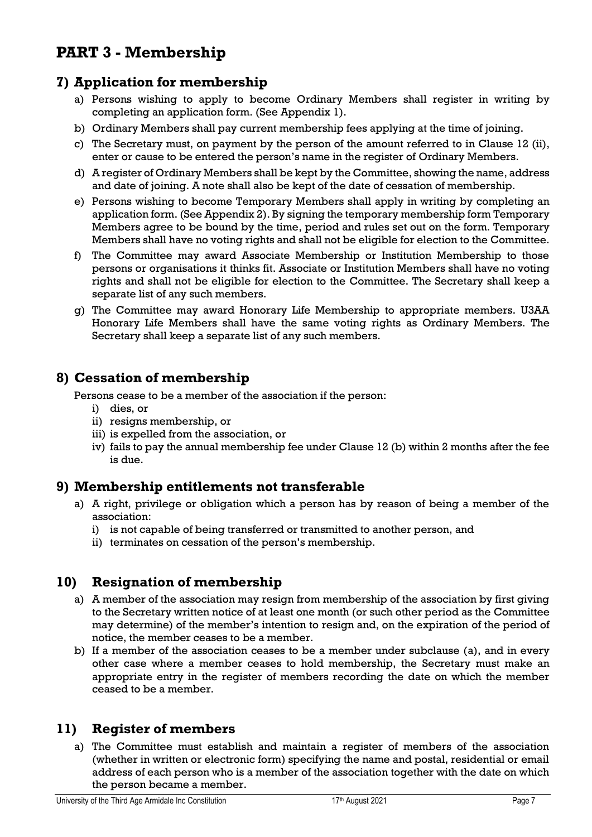# <span id="page-6-0"></span>**PART 3 - Membership**

#### <span id="page-6-1"></span>**7) Application for membership**

- a) Persons wishing to apply to become Ordinary Members shall register in writing by completing an application form. (See Appendix 1).
- b) Ordinary Members shall pay current membership fees applying at the time of joining.
- c) The Secretary must, on payment by the person of the amount referred to in Clause 12 (ii), enter or cause to be entered the person's name in the register of Ordinary Members.
- d) A register of Ordinary Members shall be kept by the Committee, showing the name, address and date of joining. A note shall also be kept of the date of cessation of membership.
- e) Persons wishing to become Temporary Members shall apply in writing by completing an application form. (See Appendix 2). By signing the temporary membership form Temporary Members agree to be bound by the time, period and rules set out on the form. Temporary Members shall have no voting rights and shall not be eligible for election to the Committee.
- f) The Committee may award Associate Membership or Institution Membership to those persons or organisations it thinks fit. Associate or Institution Members shall have no voting rights and shall not be eligible for election to the Committee. The Secretary shall keep a separate list of any such members.
- g) The Committee may award Honorary Life Membership to appropriate members. U3AA Honorary Life Members shall have the same voting rights as Ordinary Members. The Secretary shall keep a separate list of any such members.

#### <span id="page-6-2"></span>**8) Cessation of membership**

Persons cease to be a member of the association if the person:

- i) dies, or
- ii) resigns membership, or
- iii) is expelled from the association, or
- iv) fails to pay the annual membership fee under Clause 12 (b) within 2 months after the fee is due.

#### <span id="page-6-3"></span>**9) Membership entitlements not transferable**

- a) A right, privilege or obligation which a person has by reason of being a member of the association:
	- i) is not capable of being transferred or transmitted to another person, and
	- ii) terminates on cessation of the person's membership.

#### <span id="page-6-4"></span>**10) Resignation of membership**

- a) A member of the association may resign from membership of the association by first giving to the Secretary written notice of at least one month (or such other period as the Committee may determine) of the member's intention to resign and, on the expiration of the period of notice, the member ceases to be a member.
- b) If a member of the association ceases to be a member under subclause (a), and in every other case where a member ceases to hold membership, the Secretary must make an appropriate entry in the register of members recording the date on which the member ceased to be a member.

#### <span id="page-6-5"></span>**11) Register of members**

a) The Committee must establish and maintain a register of members of the association (whether in written or electronic form) specifying the name and postal, residential or email address of each person who is a member of the association together with the date on which the person became a member.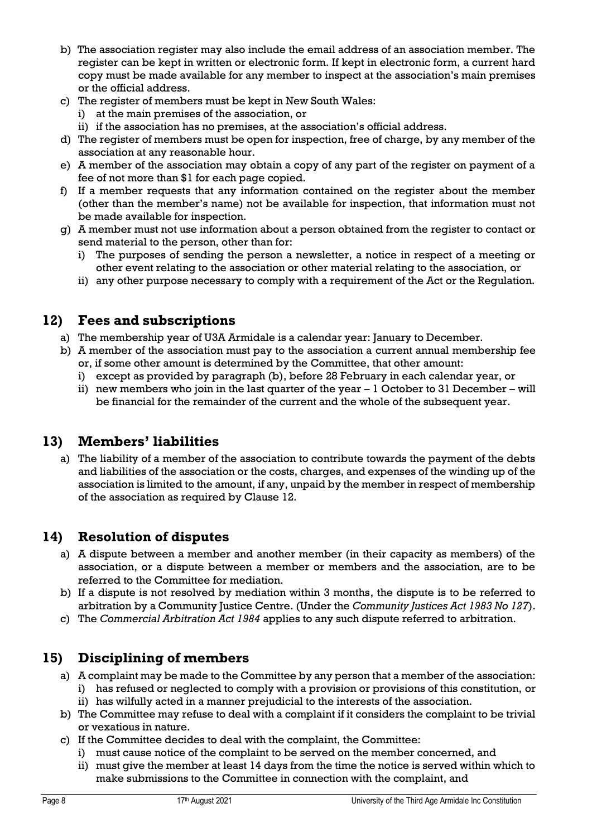- b) The association register may also include the email address of an association member. The register can be kept in written or electronic form. If kept in electronic form, a current hard copy must be made available for any member to inspect at the association's main premises or the official address.
- c) The register of members must be kept in New South Wales:
	- i) at the main premises of the association, or
	- ii) if the association has no premises, at the association's official address.
- d) The register of members must be open for inspection, free of charge, by any member of the association at any reasonable hour.
- e) A member of the association may obtain a copy of any part of the register on payment of a fee of not more than \$1 for each page copied.
- f) If a member requests that any information contained on the register about the member (other than the member's name) not be available for inspection, that information must not be made available for inspection.
- g) A member must not use information about a person obtained from the register to contact or send material to the person, other than for:
	- i) The purposes of sending the person a newsletter, a notice in respect of a meeting or other event relating to the association or other material relating to the association, or
	- ii) any other purpose necessary to comply with a requirement of the Act or the Regulation.

#### <span id="page-7-0"></span>**12) Fees and subscriptions**

- a) The membership year of U3A Armidale is a calendar year: January to December.
- b) A member of the association must pay to the association a current annual membership fee or, if some other amount is determined by the Committee, that other amount:
	- i) except as provided by paragraph (b), before 28 February in each calendar year, or
	- ii) new members who join in the last quarter of the year  $-1$  October to 31 December will be financial for the remainder of the current and the whole of the subsequent year.

#### <span id="page-7-1"></span>**13) Members' liabilities**

a) The liability of a member of the association to contribute towards the payment of the debts and liabilities of the association or the costs, charges, and expenses of the winding up of the association is limited to the amount, if any, unpaid by the member in respect of membership of the association as required by Clause 12.

#### <span id="page-7-2"></span>**14) Resolution of disputes**

- a) A dispute between a member and another member (in their capacity as members) of the association, or a dispute between a member or members and the association, are to be referred to the Committee for mediation.
- b) If a dispute is not resolved by mediation within 3 months, the dispute is to be referred to arbitration by a Community Justice Centre. (Under the *Community Justices Act 1983 No 127*).
- c) The *Commercial Arbitration Act 1984* applies to any such dispute referred to arbitration.

#### <span id="page-7-3"></span>**15) Disciplining of members**

- a) A complaint may be made to the Committee by any person that a member of the association: i) has refused or neglected to comply with a provision or provisions of this constitution, or
	- ii) has wilfully acted in a manner prejudicial to the interests of the association.
- b) The Committee may refuse to deal with a complaint if it considers the complaint to be trivial or vexatious in nature.
- c) If the Committee decides to deal with the complaint, the Committee:
	- i) must cause notice of the complaint to be served on the member concerned, and
	- ii) must give the member at least 14 days from the time the notice is served within which to make submissions to the Committee in connection with the complaint, and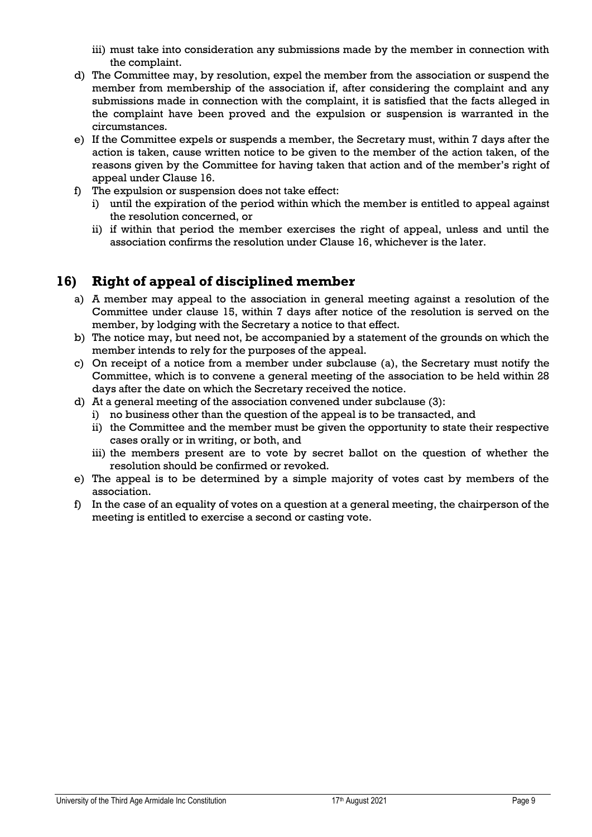- iii) must take into consideration any submissions made by the member in connection with the complaint.
- d) The Committee may, by resolution, expel the member from the association or suspend the member from membership of the association if, after considering the complaint and any submissions made in connection with the complaint, it is satisfied that the facts alleged in the complaint have been proved and the expulsion or suspension is warranted in the circumstances.
- e) If the Committee expels or suspends a member, the Secretary must, within 7 days after the action is taken, cause written notice to be given to the member of the action taken, of the reasons given by the Committee for having taken that action and of the member's right of appeal under Clause 16.
- f) The expulsion or suspension does not take effect:
	- i) until the expiration of the period within which the member is entitled to appeal against the resolution concerned, or
	- ii) if within that period the member exercises the right of appeal, unless and until the association confirms the resolution under Clause 16, whichever is the later.

#### <span id="page-8-0"></span>**16) Right of appeal of disciplined member**

- a) A member may appeal to the association in general meeting against a resolution of the Committee under clause 15, within 7 days after notice of the resolution is served on the member, by lodging with the Secretary a notice to that effect.
- b) The notice may, but need not, be accompanied by a statement of the grounds on which the member intends to rely for the purposes of the appeal.
- c) On receipt of a notice from a member under subclause (a), the Secretary must notify the Committee, which is to convene a general meeting of the association to be held within 28 days after the date on which the Secretary received the notice.
- d) At a general meeting of the association convened under subclause (3):
	- i) no business other than the question of the appeal is to be transacted, and
	- ii) the Committee and the member must be given the opportunity to state their respective cases orally or in writing, or both, and
	- iii) the members present are to vote by secret ballot on the question of whether the resolution should be confirmed or revoked.
- e) The appeal is to be determined by a simple majority of votes cast by members of the association.
- f) In the case of an equality of votes on a question at a general meeting, the chairperson of the meeting is entitled to exercise a second or casting vote.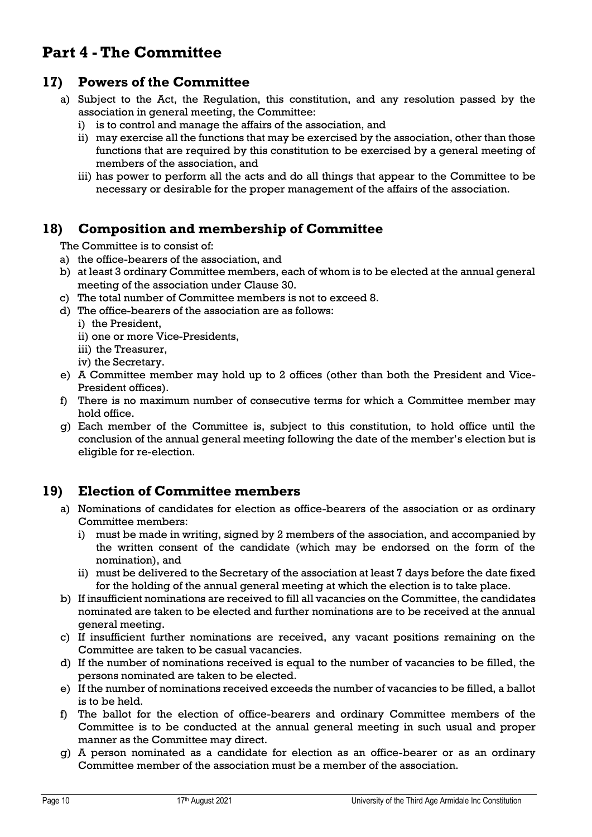# <span id="page-9-0"></span>**Part 4 - The Committee**

#### <span id="page-9-1"></span>**17) Powers of the Committee**

- a) Subject to the Act, the Regulation, this constitution, and any resolution passed by the association in general meeting, the Committee:
	- i) is to control and manage the affairs of the association, and
	- ii) may exercise all the functions that may be exercised by the association, other than those functions that are required by this constitution to be exercised by a general meeting of members of the association, and
	- iii) has power to perform all the acts and do all things that appear to the Committee to be necessary or desirable for the proper management of the affairs of the association.

#### <span id="page-9-2"></span>**18) Composition and membership of Committee**

The Committee is to consist of:

- a) the office-bearers of the association, and
- b) at least 3 ordinary Committee members, each of whom is to be elected at the annual general meeting of the association under Clause 30.
- c) The total number of Committee members is not to exceed 8.
- d) The office-bearers of the association are as follows:
	- i) the President,
	- ii) one or more Vice-Presidents,
	- iii) the Treasurer,
	- iv) the Secretary.
- e) A Committee member may hold up to 2 offices (other than both the President and Vice-President offices).
- f) There is no maximum number of consecutive terms for which a Committee member may hold office.
- g) Each member of the Committee is, subject to this constitution, to hold office until the conclusion of the annual general meeting following the date of the member's election but is eligible for re-election.

#### <span id="page-9-3"></span>**19) Election of Committee members**

- a) Nominations of candidates for election as office-bearers of the association or as ordinary Committee members:
	- i) must be made in writing, signed by 2 members of the association, and accompanied by the written consent of the candidate (which may be endorsed on the form of the nomination), and
	- ii) must be delivered to the Secretary of the association at least 7 days before the date fixed for the holding of the annual general meeting at which the election is to take place.
- b) If insufficient nominations are received to fill all vacancies on the Committee, the candidates nominated are taken to be elected and further nominations are to be received at the annual general meeting.
- c) If insufficient further nominations are received, any vacant positions remaining on the Committee are taken to be casual vacancies.
- d) If the number of nominations received is equal to the number of vacancies to be filled, the persons nominated are taken to be elected.
- e) If the number of nominations received exceeds the number of vacancies to be filled, a ballot is to be held.
- f) The ballot for the election of office-bearers and ordinary Committee members of the Committee is to be conducted at the annual general meeting in such usual and proper manner as the Committee may direct.
- g) A person nominated as a candidate for election as an office-bearer or as an ordinary Committee member of the association must be a member of the association.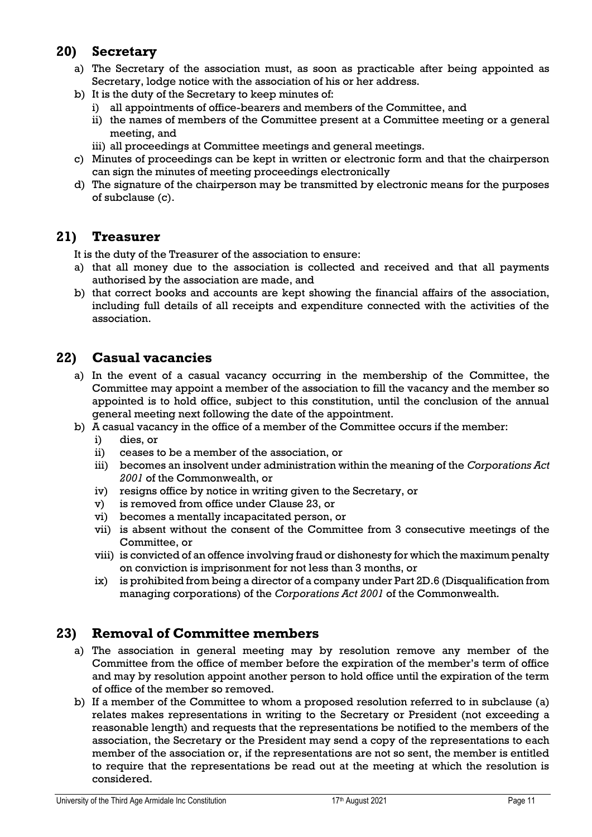#### <span id="page-10-0"></span>**20) Secretary**

- a) The Secretary of the association must, as soon as practicable after being appointed as Secretary, lodge notice with the association of his or her address.
- b) It is the duty of the Secretary to keep minutes of:
	- i) all appointments of office-bearers and members of the Committee, and
	- ii) the names of members of the Committee present at a Committee meeting or a general meeting, and
	- iii) all proceedings at Committee meetings and general meetings.
- c) Minutes of proceedings can be kept in written or electronic form and that the chairperson can sign the minutes of meeting proceedings electronically
- d) The signature of the chairperson may be transmitted by electronic means for the purposes of subclause (c).

#### <span id="page-10-1"></span>**21) Treasurer**

It is the duty of the Treasurer of the association to ensure:

- a) that all money due to the association is collected and received and that all payments authorised by the association are made, and
- b) that correct books and accounts are kept showing the financial affairs of the association, including full details of all receipts and expenditure connected with the activities of the association.

#### <span id="page-10-2"></span>**22) Casual vacancies**

- a) In the event of a casual vacancy occurring in the membership of the Committee, the Committee may appoint a member of the association to fill the vacancy and the member so appointed is to hold office, subject to this constitution, until the conclusion of the annual general meeting next following the date of the appointment.
- b) A casual vacancy in the office of a member of the Committee occurs if the member:
	- i) dies, or
	- ii) ceases to be a member of the association, or
	- iii) becomes an insolvent under administration within the meaning of the *Corporations Act 2001* of the Commonwealth, or
	- iv) resigns office by notice in writing given to the Secretary, or
	- v) is removed from office under Clause 23, or
	- vi) becomes a mentally incapacitated person, or
	- vii) is absent without the consent of the Committee from 3 consecutive meetings of the Committee, or
	- viii) is convicted of an offence involving fraud or dishonesty for which the maximum penalty on conviction is imprisonment for not less than 3 months, or
	- ix) is prohibited from being a director of a company under Part 2D.6 (Disqualification from managing corporations) of the *Corporations Act 2001* of the Commonwealth.

#### <span id="page-10-3"></span>**23) Removal of Committee members**

- a) The association in general meeting may by resolution remove any member of the Committee from the office of member before the expiration of the member's term of office and may by resolution appoint another person to hold office until the expiration of the term of office of the member so removed.
- b) If a member of the Committee to whom a proposed resolution referred to in subclause (a) relates makes representations in writing to the Secretary or President (not exceeding a reasonable length) and requests that the representations be notified to the members of the association, the Secretary or the President may send a copy of the representations to each member of the association or, if the representations are not so sent, the member is entitled to require that the representations be read out at the meeting at which the resolution is considered.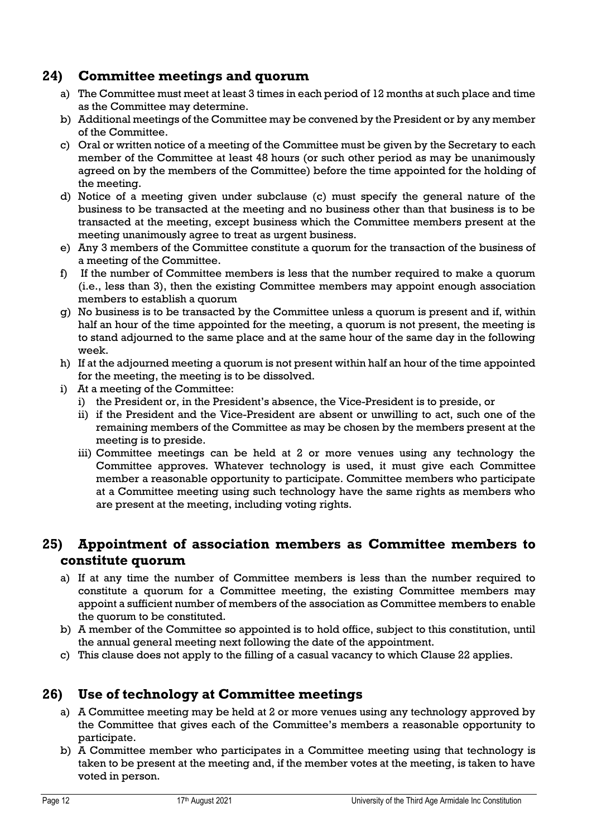#### <span id="page-11-0"></span>**24) Committee meetings and quorum**

- a) The Committee must meet at least 3 times in each period of 12 months at such place and time as the Committee may determine.
- b) Additional meetings of the Committee may be convened by the President or by any member of the Committee.
- c) Oral or written notice of a meeting of the Committee must be given by the Secretary to each member of the Committee at least 48 hours (or such other period as may be unanimously agreed on by the members of the Committee) before the time appointed for the holding of the meeting.
- d) Notice of a meeting given under subclause (c) must specify the general nature of the business to be transacted at the meeting and no business other than that business is to be transacted at the meeting, except business which the Committee members present at the meeting unanimously agree to treat as urgent business.
- e) Any 3 members of the Committee constitute a quorum for the transaction of the business of a meeting of the Committee.
- f) If the number of Committee members is less that the number required to make a quorum (i.e., less than 3), then the existing Committee members may appoint enough association members to establish a quorum
- g) No business is to be transacted by the Committee unless a quorum is present and if, within half an hour of the time appointed for the meeting, a quorum is not present, the meeting is to stand adjourned to the same place and at the same hour of the same day in the following week.
- h) If at the adjourned meeting a quorum is not present within half an hour of the time appointed for the meeting, the meeting is to be dissolved.
- i) At a meeting of the Committee:
	- i) the President or, in the President's absence, the Vice-President is to preside, or
	- ii) if the President and the Vice-President are absent or unwilling to act, such one of the remaining members of the Committee as may be chosen by the members present at the meeting is to preside.
	- iii) Committee meetings can be held at 2 or more venues using any technology the Committee approves. Whatever technology is used, it must give each Committee member a reasonable opportunity to participate. Committee members who participate at a Committee meeting using such technology have the same rights as members who are present at the meeting, including voting rights.

#### <span id="page-11-1"></span>**25) Appointment of association members as Committee members to constitute quorum**

- a) If at any time the number of Committee members is less than the number required to constitute a quorum for a Committee meeting, the existing Committee members may appoint a sufficient number of members of the association as Committee members to enable the quorum to be constituted.
- b) A member of the Committee so appointed is to hold office, subject to this constitution, until the annual general meeting next following the date of the appointment.
- c) This clause does not apply to the filling of a casual vacancy to which Clause 22 applies.

#### <span id="page-11-2"></span>**26) Use of technology at Committee meetings**

- a) A Committee meeting may be held at 2 or more venues using any technology approved by the Committee that gives each of the Committee's members a reasonable opportunity to participate.
- b) A Committee member who participates in a Committee meeting using that technology is taken to be present at the meeting and, if the member votes at the meeting, is taken to have voted in person.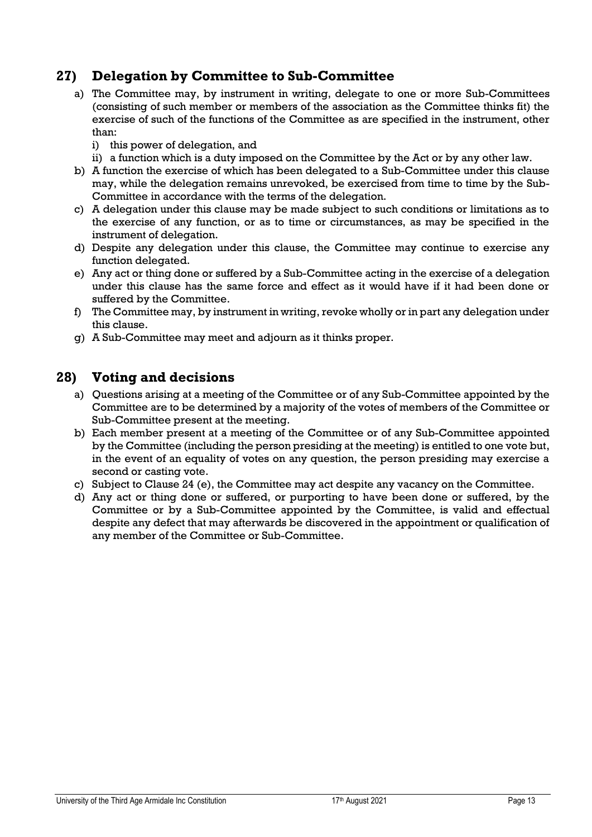#### <span id="page-12-0"></span>**27) Delegation by Committee to Sub-Committee**

- a) The Committee may, by instrument in writing, delegate to one or more Sub-Committees (consisting of such member or members of the association as the Committee thinks fit) the exercise of such of the functions of the Committee as are specified in the instrument, other than:
	- i) this power of delegation, and
	- ii) a function which is a duty imposed on the Committee by the Act or by any other law.
- b) A function the exercise of which has been delegated to a Sub-Committee under this clause may, while the delegation remains unrevoked, be exercised from time to time by the Sub-Committee in accordance with the terms of the delegation.
- c) A delegation under this clause may be made subject to such conditions or limitations as to the exercise of any function, or as to time or circumstances, as may be specified in the instrument of delegation.
- d) Despite any delegation under this clause, the Committee may continue to exercise any function delegated.
- e) Any act or thing done or suffered by a Sub-Committee acting in the exercise of a delegation under this clause has the same force and effect as it would have if it had been done or suffered by the Committee.
- f) The Committee may, by instrument in writing, revoke wholly or in part any delegation under this clause.
- g) A Sub-Committee may meet and adjourn as it thinks proper.

#### <span id="page-12-1"></span>**28) Voting and decisions**

- a) Questions arising at a meeting of the Committee or of any Sub-Committee appointed by the Committee are to be determined by a majority of the votes of members of the Committee or Sub-Committee present at the meeting.
- b) Each member present at a meeting of the Committee or of any Sub-Committee appointed by the Committee (including the person presiding at the meeting) is entitled to one vote but, in the event of an equality of votes on any question, the person presiding may exercise a second or casting vote.
- c) Subject to Clause 24 (e), the Committee may act despite any vacancy on the Committee.
- d) Any act or thing done or suffered, or purporting to have been done or suffered, by the Committee or by a Sub-Committee appointed by the Committee, is valid and effectual despite any defect that may afterwards be discovered in the appointment or qualification of any member of the Committee or Sub-Committee.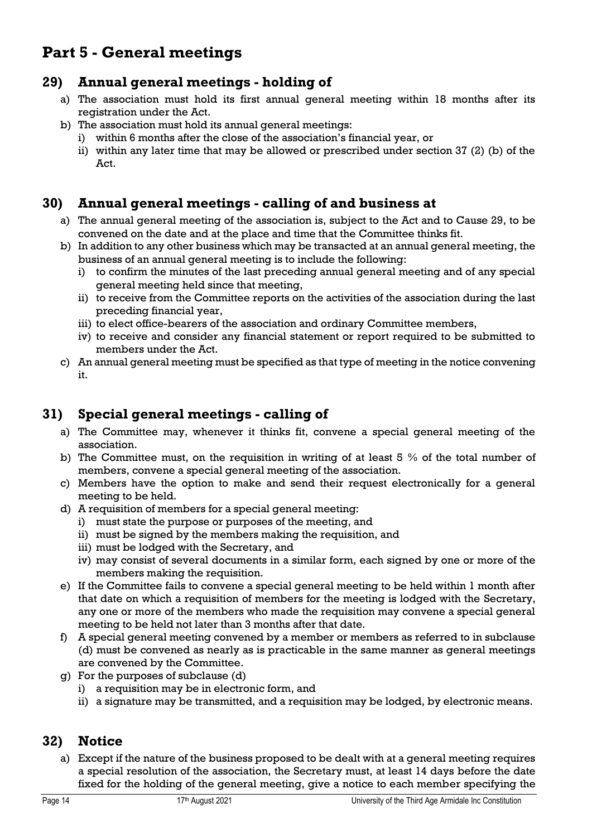# <span id="page-13-0"></span>**Part 5 - General meetings**

#### <span id="page-13-1"></span>**29) Annual general meetings - holding of**

- a) The association must hold its first annual general meeting within 18 months after its registration under the Act.
- b) The association must hold its annual general meetings:
	- i) within 6 months after the close of the association's financial year, or
	- ii) within any later time that may be allowed or prescribed under section 37 (2) (b) of the Act.

#### <span id="page-13-2"></span>**30) Annual general meetings - calling of and business at**

- a) The annual general meeting of the association is, subject to the Act and to Cause 29, to be convened on the date and at the place and time that the Committee thinks fit.
- b) In addition to any other business which may be transacted at an annual general meeting, the business of an annual general meeting is to include the following:
	- i) to confirm the minutes of the last preceding annual general meeting and of any special general meeting held since that meeting,
	- ii) to receive from the Committee reports on the activities of the association during the last preceding financial year,
	- iii) to elect office-bearers of the association and ordinary Committee members,
	- iv) to receive and consider any financial statement or report required to be submitted to members under the Act.
- c) An annual general meeting must be specified as that type of meeting in the notice convening it.

#### <span id="page-13-3"></span>**31) Special general meetings - calling of**

- a) The Committee may, whenever it thinks fit, convene a special general meeting of the association.
- b) The Committee must, on the requisition in writing of at least 5 % of the total number of members, convene a special general meeting of the association.
- c) Members have the option to make and send their request electronically for a general meeting to be held.
- d) A requisition of members for a special general meeting:
	- i) must state the purpose or purposes of the meeting, and
	- ii) must be signed by the members making the requisition, and
	- iii) must be lodged with the Secretary, and
	- iv) may consist of several documents in a similar form, each signed by one or more of the members making the requisition.
- e) If the Committee fails to convene a special general meeting to be held within 1 month after that date on which a requisition of members for the meeting is lodged with the Secretary, any one or more of the members who made the requisition may convene a special general meeting to be held not later than 3 months after that date.
- f) A special general meeting convened by a member or members as referred to in subclause (d) must be convened as nearly as is practicable in the same manner as general meetings are convened by the Committee.
- g) For the purposes of subclause (d)
	- i) a requisition may be in electronic form, and
	- ii) a signature may be transmitted, and a requisition may be lodged, by electronic means.

#### <span id="page-13-4"></span>**32) Notice**

a) Except if the nature of the business proposed to be dealt with at a general meeting requires a special resolution of the association, the Secretary must, at least 14 days before the date fixed for the holding of the general meeting, give a notice to each member specifying the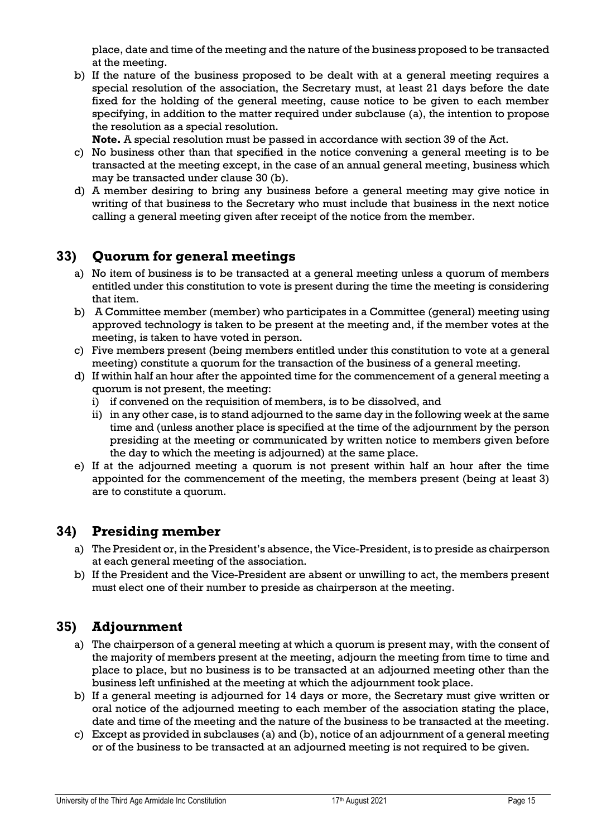place, date and time of the meeting and the nature of the business proposed to be transacted at the meeting.

b) If the nature of the business proposed to be dealt with at a general meeting requires a special resolution of the association, the Secretary must, at least 21 days before the date fixed for the holding of the general meeting, cause notice to be given to each member specifying, in addition to the matter required under subclause (a), the intention to propose the resolution as a special resolution.

**Note.** A special resolution must be passed in accordance with section 39 of the Act.

- c) No business other than that specified in the notice convening a general meeting is to be transacted at the meeting except, in the case of an annual general meeting, business which may be transacted under clause 30 (b).
- d) A member desiring to bring any business before a general meeting may give notice in writing of that business to the Secretary who must include that business in the next notice calling a general meeting given after receipt of the notice from the member.

#### <span id="page-14-0"></span>**33) Quorum for general meetings**

- a) No item of business is to be transacted at a general meeting unless a quorum of members entitled under this constitution to vote is present during the time the meeting is considering that item.
- b) A Committee member (member) who participates in a Committee (general) meeting using approved technology is taken to be present at the meeting and, if the member votes at the meeting, is taken to have voted in person.
- c) Five members present (being members entitled under this constitution to vote at a general meeting) constitute a quorum for the transaction of the business of a general meeting.
- d) If within half an hour after the appointed time for the commencement of a general meeting a quorum is not present, the meeting:
	- i) if convened on the requisition of members, is to be dissolved, and
	- ii) in any other case, is to stand adjourned to the same day in the following week at the same time and (unless another place is specified at the time of the adjournment by the person presiding at the meeting or communicated by written notice to members given before the day to which the meeting is adjourned) at the same place.
- e) If at the adjourned meeting a quorum is not present within half an hour after the time appointed for the commencement of the meeting, the members present (being at least 3) are to constitute a quorum.

#### <span id="page-14-1"></span>**34) Presiding member**

- a) The President or, in the President's absence, the Vice-President, is to preside as chairperson at each general meeting of the association.
- b) If the President and the Vice-President are absent or unwilling to act, the members present must elect one of their number to preside as chairperson at the meeting.

#### <span id="page-14-2"></span>**35) Adjournment**

- a) The chairperson of a general meeting at which a quorum is present may, with the consent of the majority of members present at the meeting, adjourn the meeting from time to time and place to place, but no business is to be transacted at an adjourned meeting other than the business left unfinished at the meeting at which the adjournment took place.
- b) If a general meeting is adjourned for 14 days or more, the Secretary must give written or oral notice of the adjourned meeting to each member of the association stating the place, date and time of the meeting and the nature of the business to be transacted at the meeting.
- c) Except as provided in subclauses (a) and (b), notice of an adjournment of a general meeting or of the business to be transacted at an adjourned meeting is not required to be given.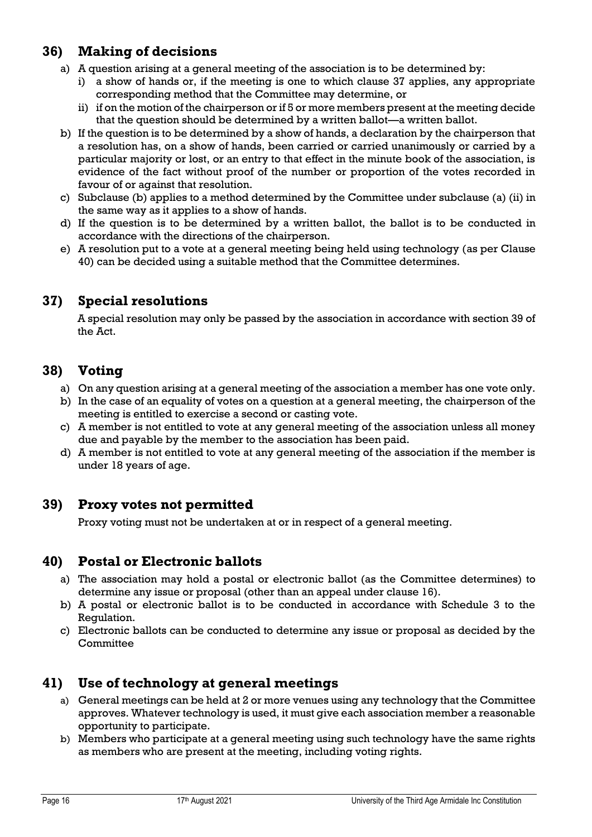#### <span id="page-15-0"></span>**36) Making of decisions**

- a) A question arising at a general meeting of the association is to be determined by:
	- i) a show of hands or, if the meeting is one to which clause 37 applies, any appropriate corresponding method that the Committee may determine, or
	- ii) if on the motion of the chairperson or if 5 or more members present at the meeting decide that the question should be determined by a written ballot—a written ballot.
- b) If the question is to be determined by a show of hands, a declaration by the chairperson that a resolution has, on a show of hands, been carried or carried unanimously or carried by a particular majority or lost, or an entry to that effect in the minute book of the association, is evidence of the fact without proof of the number or proportion of the votes recorded in favour of or against that resolution.
- c) Subclause (b) applies to a method determined by the Committee under subclause (a) (ii) in the same way as it applies to a show of hands.
- d) If the question is to be determined by a written ballot, the ballot is to be conducted in accordance with the directions of the chairperson.
- e) A resolution put to a vote at a general meeting being held using technology (as per Clause 40) can be decided using a suitable method that the Committee determines.

#### <span id="page-15-1"></span>**37) Special resolutions**

A special resolution may only be passed by the association in accordance with section 39 of the Act.

#### <span id="page-15-2"></span>**38) Voting**

- a) On any question arising at a general meeting of the association a member has one vote only.
- b) In the case of an equality of votes on a question at a general meeting, the chairperson of the meeting is entitled to exercise a second or casting vote.
- c) A member is not entitled to vote at any general meeting of the association unless all money due and payable by the member to the association has been paid.
- d) A member is not entitled to vote at any general meeting of the association if the member is under 18 years of age.

#### <span id="page-15-3"></span>**39) Proxy votes not permitted**

Proxy voting must not be undertaken at or in respect of a general meeting.

#### <span id="page-15-4"></span>**40) Postal or Electronic ballots**

- a) The association may hold a postal or electronic ballot (as the Committee determines) to determine any issue or proposal (other than an appeal under clause 16).
- b) A postal or electronic ballot is to be conducted in accordance with Schedule 3 to the Regulation.
- c) Electronic ballots can be conducted to determine any issue or proposal as decided by the **Committee**

#### <span id="page-15-5"></span>**41) Use of technology at general meetings**

- a) General meetings can be held at 2 or more venues using any technology that the Committee approves. Whatever technology is used, it must give each association member a reasonable opportunity to participate.
- b) Members who participate at a general meeting using such technology have the same rights as members who are present at the meeting, including voting rights.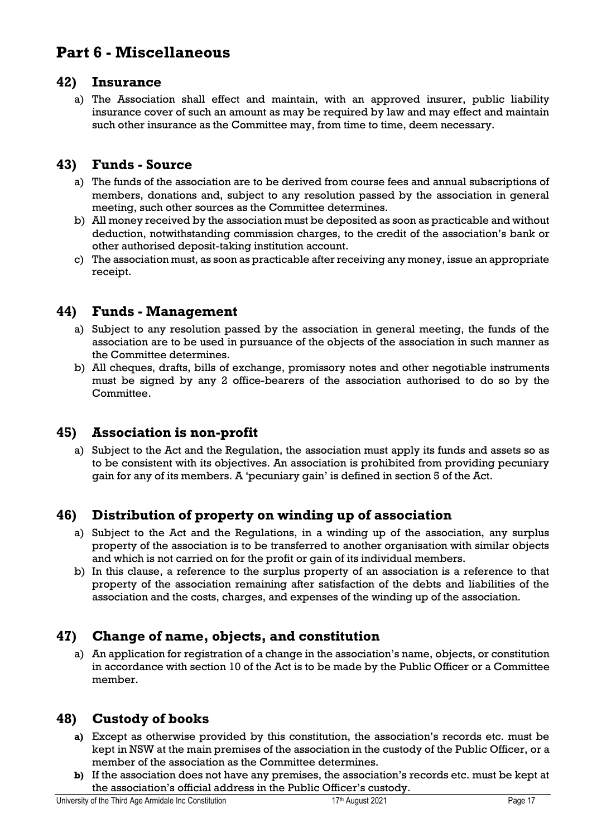## <span id="page-16-0"></span>**Part 6 - Miscellaneous**

#### <span id="page-16-1"></span>**42) Insurance**

a) The Association shall effect and maintain, with an approved insurer, public liability insurance cover of such an amount as may be required by law and may effect and maintain such other insurance as the Committee may, from time to time, deem necessary.

#### <span id="page-16-2"></span>**43) Funds - Source**

- a) The funds of the association are to be derived from course fees and annual subscriptions of members, donations and, subject to any resolution passed by the association in general meeting, such other sources as the Committee determines.
- b) All money received by the association must be deposited as soon as practicable and without deduction, notwithstanding commission charges, to the credit of the association's bank or other authorised deposit-taking institution account.
- c) The association must, as soon as practicable after receiving any money, issue an appropriate receipt.

#### <span id="page-16-3"></span>**44) Funds - Management**

- a) Subject to any resolution passed by the association in general meeting, the funds of the association are to be used in pursuance of the objects of the association in such manner as the Committee determines.
- b) All cheques, drafts, bills of exchange, promissory notes and other negotiable instruments must be signed by any 2 office-bearers of the association authorised to do so by the Committee.

#### <span id="page-16-4"></span>**45) Association is non-profit**

a) Subject to the Act and the Regulation, the association must apply its funds and assets so as to be consistent with its objectives. An association is prohibited from providing pecuniary gain for any of its members. A 'pecuniary gain' is defined in section 5 of the Act.

#### <span id="page-16-5"></span>**46) Distribution of property on winding up of association**

- a) Subject to the Act and the Regulations, in a winding up of the association, any surplus property of the association is to be transferred to another organisation with similar objects and which is not carried on for the profit or gain of its individual members.
- b) In this clause, a reference to the surplus property of an association is a reference to that property of the association remaining after satisfaction of the debts and liabilities of the association and the costs, charges, and expenses of the winding up of the association.

#### <span id="page-16-6"></span>**47) Change of name, objects, and constitution**

a) An application for registration of a change in the association's name, objects, or constitution in accordance with section 10 of the Act is to be made by the Public Officer or a Committee member.

#### <span id="page-16-7"></span>**48) Custody of books**

- **a)** Except as otherwise provided by this constitution, the association's records etc. must be kept in NSW at the main premises of the association in the custody of the Public Officer, or a member of the association as the Committee determines.
- **b)** If the association does not have any premises, the association's records etc. must be kept at the association's official address in the Public Officer's custody.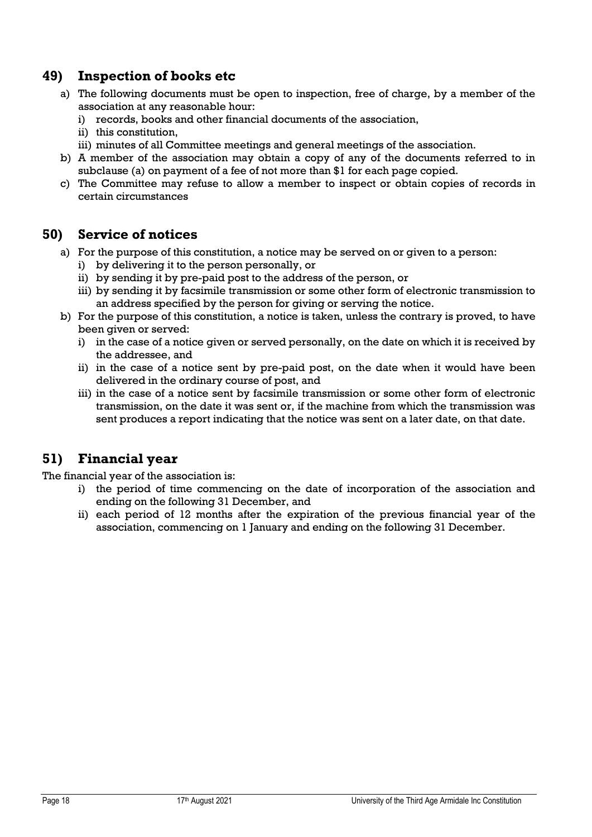#### <span id="page-17-0"></span>**49) Inspection of books etc**

- a) The following documents must be open to inspection, free of charge, by a member of the association at any reasonable hour:
	- i) records, books and other financial documents of the association,
	- ii) this constitution,
	- iii) minutes of all Committee meetings and general meetings of the association.
- b) A member of the association may obtain a copy of any of the documents referred to in subclause (a) on payment of a fee of not more than \$1 for each page copied.
- c) The Committee may refuse to allow a member to inspect or obtain copies of records in certain circumstances

#### <span id="page-17-1"></span>**50) Service of notices**

- a) For the purpose of this constitution, a notice may be served on or given to a person:
	- i) by delivering it to the person personally, or
	- ii) by sending it by pre-paid post to the address of the person, or
	- iii) by sending it by facsimile transmission or some other form of electronic transmission to an address specified by the person for giving or serving the notice.
- b) For the purpose of this constitution, a notice is taken, unless the contrary is proved, to have been given or served:
	- i) in the case of a notice given or served personally, on the date on which it is received by the addressee, and
	- ii) in the case of a notice sent by pre-paid post, on the date when it would have been delivered in the ordinary course of post, and
	- iii) in the case of a notice sent by facsimile transmission or some other form of electronic transmission, on the date it was sent or, if the machine from which the transmission was sent produces a report indicating that the notice was sent on a later date, on that date.

#### <span id="page-17-2"></span>**51) Financial year**

The financial year of the association is:

- i) the period of time commencing on the date of incorporation of the association and ending on the following 31 December, and
- ii) each period of 12 months after the expiration of the previous financial year of the association, commencing on 1 January and ending on the following 31 December.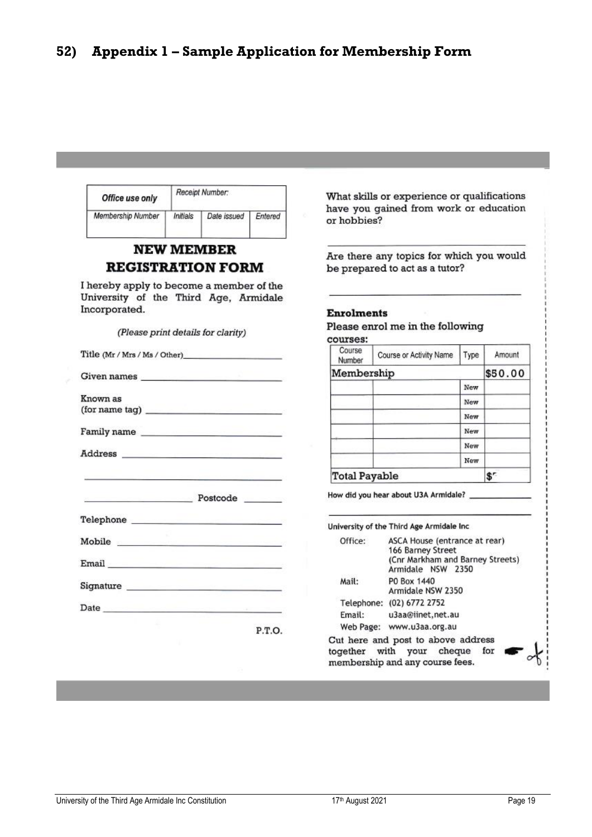<span id="page-18-0"></span>

| Receipt Number:<br>Office use only                                                                                                                                                                                                   | What skills or experience or qualifications                                |  |  |
|--------------------------------------------------------------------------------------------------------------------------------------------------------------------------------------------------------------------------------------|----------------------------------------------------------------------------|--|--|
| Membership Number<br>Initials<br>Date issued<br>Entered                                                                                                                                                                              | have you gained from work or education<br>or hobbies?                      |  |  |
| <b>NEW MEMBER</b><br><b>REGISTRATION FORM</b>                                                                                                                                                                                        | Are there any topics for which you would<br>be prepared to act as a tutor? |  |  |
| I hereby apply to become a member of the<br>University of the Third Age, Armidale<br>Incorporated.<br>(Please print details for clarity)                                                                                             | <b>Enrolments</b><br>Please enrol me in the following                      |  |  |
| Title (Mr / Mrs / Ms / Other)                                                                                                                                                                                                        | courses:<br>Course<br>Course or Activity Name<br>Type<br>Amount            |  |  |
|                                                                                                                                                                                                                                      | Number<br>Membership<br>\$50.00                                            |  |  |
| Given names <b>Solution</b> Service Service Service Service Service Service Service Service Service Service Service Service Service Service Service Service Service Service Service Service Service Service Service Service Service  | New                                                                        |  |  |
| Known as                                                                                                                                                                                                                             | New                                                                        |  |  |
| (for name tag)                                                                                                                                                                                                                       | New                                                                        |  |  |
| Family name                                                                                                                                                                                                                          | New                                                                        |  |  |
|                                                                                                                                                                                                                                      | New                                                                        |  |  |
|                                                                                                                                                                                                                                      | New                                                                        |  |  |
|                                                                                                                                                                                                                                      | <b>Total Payable</b><br>$S^r$                                              |  |  |
| Postcode Postcode                                                                                                                                                                                                                    | How did you hear about U3A Armidale? ____________                          |  |  |
| Telephone <b>the contract of the contract of the contract of the contract of the contract of the contract of the contract of the contract of the contract of the contract of the contract of the contract of the contract of the</b> | University of the Third Age Armidale Inc                                   |  |  |
| Mobile <b>Mobile</b>                                                                                                                                                                                                                 | ASCA House (entrance at rear)<br>Office:                                   |  |  |
| 166 Barney Street<br>(Cnr Markham and Barney Streets)<br>Email <b>Email and Service Contract of the Service Contract of the Service Contract of the Service Contract of the</b><br>Armidale NSW 2350                                 |                                                                            |  |  |
|                                                                                                                                                                                                                                      | P0 Box 1440<br>Mail:<br>Armidale NSW 2350                                  |  |  |
| Date and the contract of the contract of the contract of the contract of the contract of the contract of the contract of the contract of the contract of the contract of the contract of the contract of the contract of the c       | Telephone: (02) 6772 2752                                                  |  |  |
|                                                                                                                                                                                                                                      | Email:<br>u3aa@iinet.net.au                                                |  |  |
| P.T.O.                                                                                                                                                                                                                               | Web Page: www.u3aa.org.au                                                  |  |  |